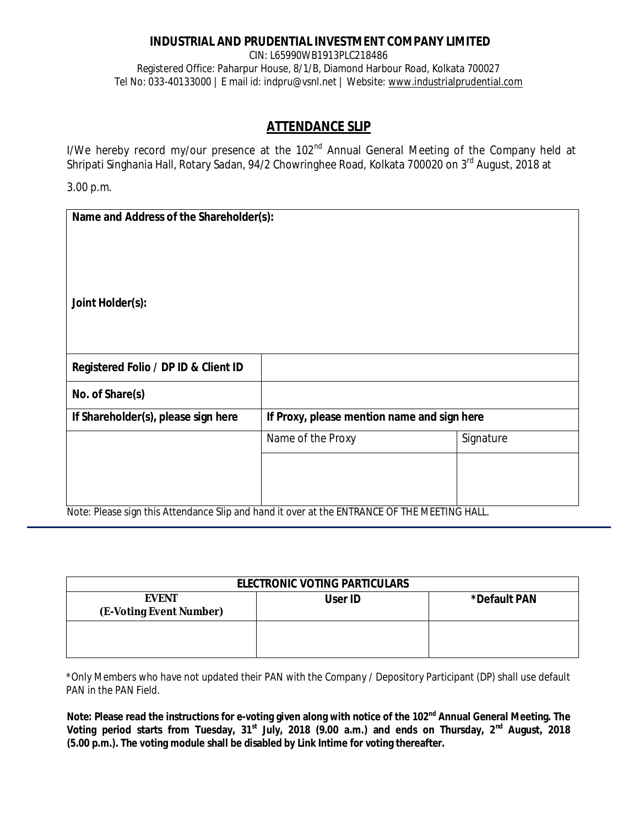## **INDUSTRIAL AND PRUDENTIAL INVESTMENT COMPANY LIMITED**

CIN: L65990WB1913PLC218486 Registered Office: Paharpur House, 8/1/B, Diamond Harbour Road, Kolkata 700027 Tel No: 033-40133000 | E mail id: indpru@vsnl.net | Website: www.industrialprudential.com

# **ATTENDANCE SLIP**

I/We hereby record my/our presence at the 102<sup>nd</sup> Annual General Meeting of the Company held at Shripati Singhania Hall, Rotary Sadan, 94/2 Chowringhee Road, Kolkata 700020 on 3<sup>rd</sup> August, 2018 at

3.00 p.m.

| Name and Address of the Shareholder(s): |                                                                                             |           |
|-----------------------------------------|---------------------------------------------------------------------------------------------|-----------|
| Joint Holder(s):                        |                                                                                             |           |
| Registered Folio / DP ID & Client ID    |                                                                                             |           |
| No. of Share(s)                         |                                                                                             |           |
| If Shareholder(s), please sign here     | If Proxy, please mention name and sign here                                                 |           |
|                                         | Name of the Proxy                                                                           | Signature |
|                                         |                                                                                             |           |
|                                         | Note: Dieses sign this Attendance Clip and bend it over at the ENTDANCE OF THE MEETING HALL |           |

Note: Please sign this Attendance Slip and hand it over at the ENTRANCE OF THE MEETING HALL.

| <b>ELECTRONIC VOTING PARTICULARS</b>    |                |              |  |
|-----------------------------------------|----------------|--------------|--|
| <b>EVENT</b><br>(E-Voting Event Number) | <b>User ID</b> | *Default PAN |  |
|                                         |                |              |  |

\*Only Members who have not updated their PAN with the Company / Depository Participant (DP) shall use default PAN in the PAN Field.

**Note: Please read the instructions for e-voting given along with notice of the 102nd Annual General Meeting. The Voting period starts from Tuesday, 31st July, 2018 (9.00 a.m.) and ends on Thursday, 2nd August, 2018 (5.00 p.m.). The voting module shall be disabled by Link Intime for voting thereafter.**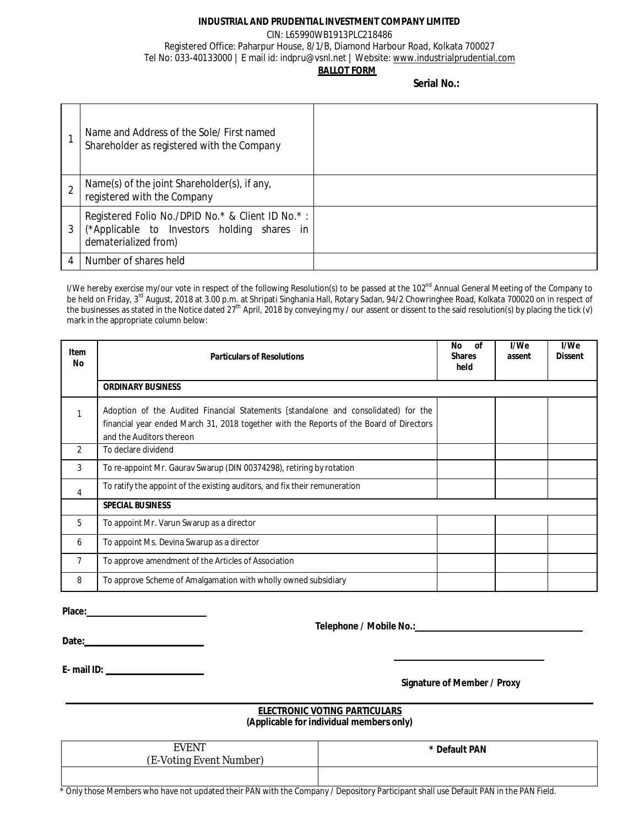#### **INDUSTRIAL AND PRUDENTIAL INVESTMENT COMPANY LIMITED**

#### CIN: L65990WB1913PLC218486 Registered Office: Paharpur House, 8/1/B, Diamond Harbour Road, Kolkata 700027 Tel No: 033-40133000 | E mail id: indpru@vsnl.net | Website: www.industrialprudential.com **BALLOT FORM**

**Serial No.:**

| Name and Address of the Sole/ First named<br>Shareholder as registered with the Company                                 |  |
|-------------------------------------------------------------------------------------------------------------------------|--|
| Name(s) of the joint Shareholder(s), if any,<br>registered with the Company                                             |  |
| Registered Folio No./DPID No.* & Client ID No.*:<br>(*Applicable to Investors holding shares in<br>dematerialized from) |  |
| Number of shares held                                                                                                   |  |

I/We hereby exercise my/our vote in respect of the following Resolution(s) to be passed at the 102<sup>nd</sup> Annual General Meeting of the Company to be held on Friday, 3<sup>rd</sup> August, 2018 at 3.00 p.m. at Shripati Singhania Hall, Rotary Sadan, 94/2 Chowringhee Road, Kolkata 700020 on in respect of the businesses as stated in the Notice dated 27<sup>th</sup> April, 2018 by conveying my / our assent or dissent to the said resolution(s) by placing the tick (√) mark in the appropriate column below:

| Item<br>No | <b>Particulars of Resolutions</b>                                                                                                                                                                         | No<br><b>of</b><br><b>Shares</b><br>held | I/We<br>assent | I/We<br><b>Dissent</b> |
|------------|-----------------------------------------------------------------------------------------------------------------------------------------------------------------------------------------------------------|------------------------------------------|----------------|------------------------|
|            | <b>ORDINARY BUSINESS</b>                                                                                                                                                                                  |                                          |                |                        |
|            | Adoption of the Audited Financial Statements [standalone and consolidated] for the<br>financial year ended March 31, 2018 together with the Reports of the Board of Directors<br>and the Auditors thereon |                                          |                |                        |
| 2          | To declare dividend                                                                                                                                                                                       |                                          |                |                        |
| 3          | To re-appoint Mr. Gaurav Swarup (DIN 00374298), retiring by rotation                                                                                                                                      |                                          |                |                        |
| 4          | To ratify the appoint of the existing auditors, and fix their remuneration                                                                                                                                |                                          |                |                        |
|            | <b>SPECIAL BUSINESS</b>                                                                                                                                                                                   |                                          |                |                        |
| 5          | To appoint Mr. Varun Swarup as a director                                                                                                                                                                 |                                          |                |                        |
| 6          | To appoint Ms. Devina Swarup as a director                                                                                                                                                                |                                          |                |                        |
| 7          | To approve amendment of the Articles of Association                                                                                                                                                       |                                          |                |                        |
| 8          | To approve Scheme of Amalgamation with wholly owned subsidiary                                                                                                                                            |                                          |                |                        |

**Place:**

 **Telephone / Mobile No.:**

**Date:**

**E- mail ID:** 

**Signature of Member / Proxy**

#### **ELECTRONIC VOTING PARTICULARS (Applicable for individual members only)**

| : IN<br>ע -<br>vant.<br>Number)<br>inv<br>Œ.<br>. . \/ ( ) l<br>. | * Default PAN |
|-------------------------------------------------------------------|---------------|
|                                                                   |               |

Lettion those Members who have not updated their PAN with the Company / Depository Participant shall use Default PAN in the PAN Field.